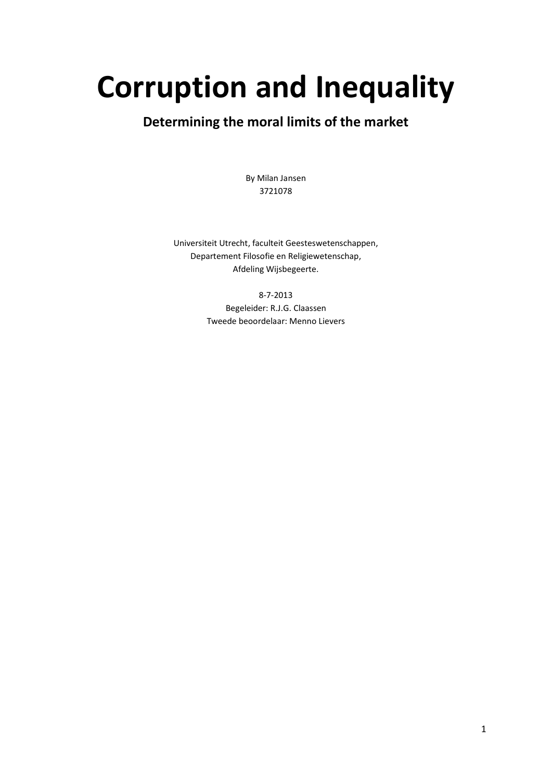# **Corruption and Inequality**

# **Determining the moral limits of the market**

By Milan Jansen 3721078

Universiteit Utrecht, faculteit Geesteswetenschappen, Departement Filosofie en Religiewetenschap, Afdeling Wijsbegeerte.

> 8-7-2013 Begeleider: R.J.G. Claassen Tweede beoordelaar: Menno Lievers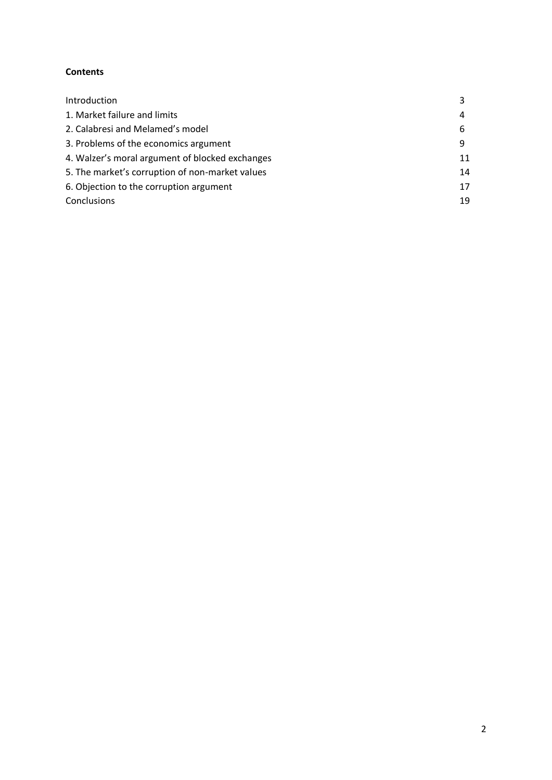### **Contents**

| Introduction                                    | 3  |
|-------------------------------------------------|----|
| 1. Market failure and limits                    | 4  |
| 2. Calabresi and Melamed's model                | 6  |
| 3. Problems of the economics argument           | 9  |
| 4. Walzer's moral argument of blocked exchanges | 11 |
| 5. The market's corruption of non-market values | 14 |
| 6. Objection to the corruption argument         | 17 |
| Conclusions                                     | 19 |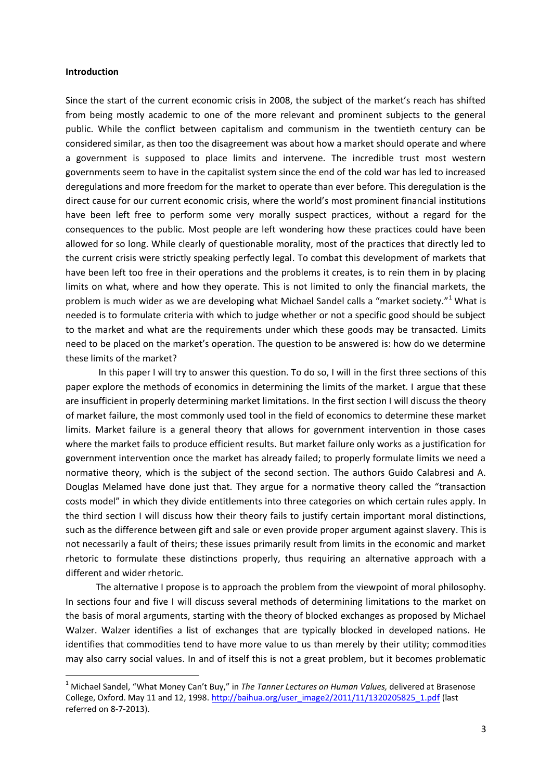#### **Introduction**

1

Since the start of the current economic crisis in 2008, the subject of the market's reach has shifted from being mostly academic to one of the more relevant and prominent subjects to the general public. While the conflict between capitalism and communism in the twentieth century can be considered similar, as then too the disagreement was about how a market should operate and where a government is supposed to place limits and intervene. The incredible trust most western governments seem to have in the capitalist system since the end of the cold war has led to increased deregulations and more freedom for the market to operate than ever before. This deregulation is the direct cause for our current economic crisis, where the world's most prominent financial institutions have been left free to perform some very morally suspect practices, without a regard for the consequences to the public. Most people are left wondering how these practices could have been allowed for so long. While clearly of questionable morality, most of the practices that directly led to the current crisis were strictly speaking perfectly legal. To combat this development of markets that have been left too free in their operations and the problems it creates, is to rein them in by placing limits on what, where and how they operate. This is not limited to only the financial markets, the problem is much wider as we are developing what Michael Sandel calls a "market society."<sup>1</sup> What is needed is to formulate criteria with which to judge whether or not a specific good should be subject to the market and what are the requirements under which these goods may be transacted. Limits need to be placed on the market's operation. The question to be answered is: how do we determine these limits of the market?

In this paper I will try to answer this question. To do so, I will in the first three sections of this paper explore the methods of economics in determining the limits of the market. I argue that these are insufficient in properly determining market limitations. In the first section I will discuss the theory of market failure, the most commonly used tool in the field of economics to determine these market limits. Market failure is a general theory that allows for government intervention in those cases where the market fails to produce efficient results. But market failure only works as a justification for government intervention once the market has already failed; to properly formulate limits we need a normative theory, which is the subject of the second section. The authors Guido Calabresi and A. Douglas Melamed have done just that. They argue for a normative theory called the "transaction costs model" in which they divide entitlements into three categories on which certain rules apply. In the third section I will discuss how their theory fails to justify certain important moral distinctions, such as the difference between gift and sale or even provide proper argument against slavery. This is not necessarily a fault of theirs; these issues primarily result from limits in the economic and market rhetoric to formulate these distinctions properly, thus requiring an alternative approach with a different and wider rhetoric.

The alternative I propose is to approach the problem from the viewpoint of moral philosophy. In sections four and five I will discuss several methods of determining limitations to the market on the basis of moral arguments, starting with the theory of blocked exchanges as proposed by Michael Walzer. Walzer identifies a list of exchanges that are typically blocked in developed nations. He identifies that commodities tend to have more value to us than merely by their utility; commodities may also carry social values. In and of itself this is not a great problem, but it becomes problematic

<sup>1</sup> Michael Sandel, "What Money Can't Buy," in *The Tanner Lectures on Human Values,* delivered at Brasenose College, Oxford. May 11 and 12, 1998. [http://baihua.org/user\\_image2/2011/11/1320205825\\_1.pdf](http://baihua.org/user_image2/2011/11/1320205825_1.pdf) (last referred on 8-7-2013).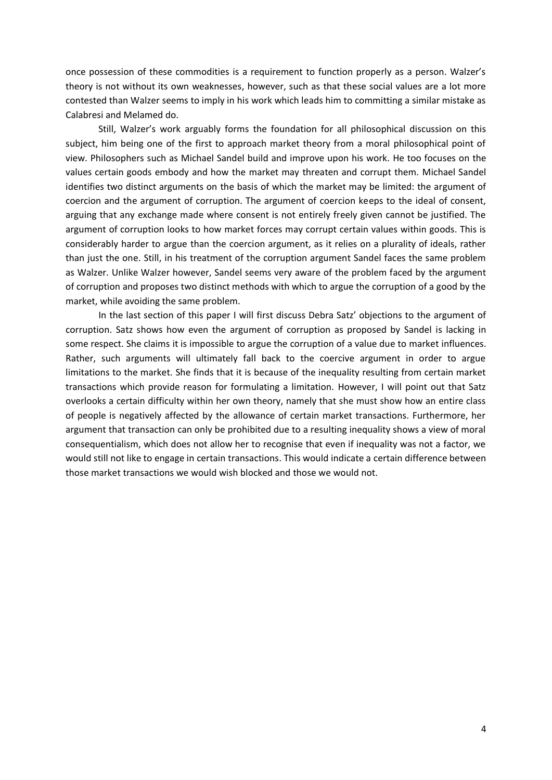once possession of these commodities is a requirement to function properly as a person. Walzer's theory is not without its own weaknesses, however, such as that these social values are a lot more contested than Walzer seems to imply in his work which leads him to committing a similar mistake as Calabresi and Melamed do.

Still, Walzer's work arguably forms the foundation for all philosophical discussion on this subject, him being one of the first to approach market theory from a moral philosophical point of view. Philosophers such as Michael Sandel build and improve upon his work. He too focuses on the values certain goods embody and how the market may threaten and corrupt them. Michael Sandel identifies two distinct arguments on the basis of which the market may be limited: the argument of coercion and the argument of corruption. The argument of coercion keeps to the ideal of consent, arguing that any exchange made where consent is not entirely freely given cannot be justified. The argument of corruption looks to how market forces may corrupt certain values within goods. This is considerably harder to argue than the coercion argument, as it relies on a plurality of ideals, rather than just the one. Still, in his treatment of the corruption argument Sandel faces the same problem as Walzer. Unlike Walzer however, Sandel seems very aware of the problem faced by the argument of corruption and proposes two distinct methods with which to argue the corruption of a good by the market, while avoiding the same problem.

In the last section of this paper I will first discuss Debra Satz' objections to the argument of corruption. Satz shows how even the argument of corruption as proposed by Sandel is lacking in some respect. She claims it is impossible to argue the corruption of a value due to market influences. Rather, such arguments will ultimately fall back to the coercive argument in order to argue limitations to the market. She finds that it is because of the inequality resulting from certain market transactions which provide reason for formulating a limitation. However, I will point out that Satz overlooks a certain difficulty within her own theory, namely that she must show how an entire class of people is negatively affected by the allowance of certain market transactions. Furthermore, her argument that transaction can only be prohibited due to a resulting inequality shows a view of moral consequentialism, which does not allow her to recognise that even if inequality was not a factor, we would still not like to engage in certain transactions. This would indicate a certain difference between those market transactions we would wish blocked and those we would not.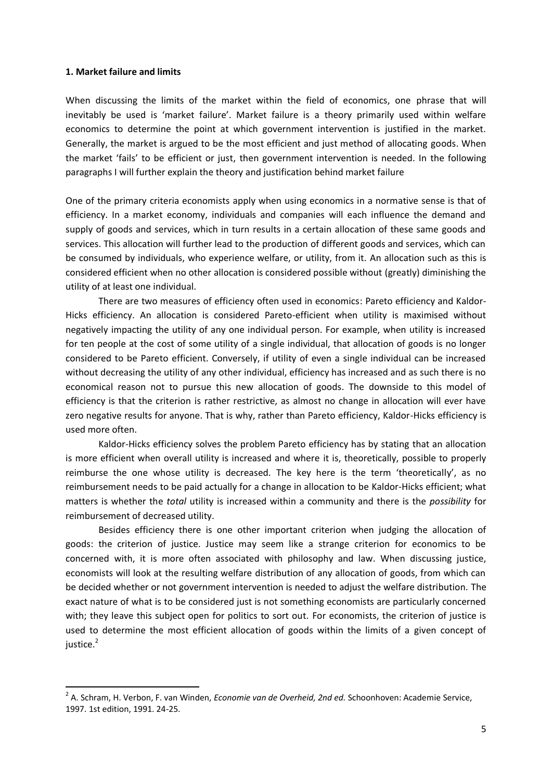#### **1. Market failure and limits**

 $\overline{a}$ 

When discussing the limits of the market within the field of economics, one phrase that will inevitably be used is 'market failure'. Market failure is a theory primarily used within welfare economics to determine the point at which government intervention is justified in the market. Generally, the market is argued to be the most efficient and just method of allocating goods. When the market 'fails' to be efficient or just, then government intervention is needed. In the following paragraphs I will further explain the theory and justification behind market failure

One of the primary criteria economists apply when using economics in a normative sense is that of efficiency. In a market economy, individuals and companies will each influence the demand and supply of goods and services, which in turn results in a certain allocation of these same goods and services. This allocation will further lead to the production of different goods and services, which can be consumed by individuals, who experience welfare, or utility, from it. An allocation such as this is considered efficient when no other allocation is considered possible without (greatly) diminishing the utility of at least one individual.

There are two measures of efficiency often used in economics: Pareto efficiency and Kaldor-Hicks efficiency. An allocation is considered Pareto-efficient when utility is maximised without negatively impacting the utility of any one individual person. For example, when utility is increased for ten people at the cost of some utility of a single individual, that allocation of goods is no longer considered to be Pareto efficient. Conversely, if utility of even a single individual can be increased without decreasing the utility of any other individual, efficiency has increased and as such there is no economical reason not to pursue this new allocation of goods. The downside to this model of efficiency is that the criterion is rather restrictive, as almost no change in allocation will ever have zero negative results for anyone. That is why, rather than Pareto efficiency, Kaldor-Hicks efficiency is used more often.

Kaldor-Hicks efficiency solves the problem Pareto efficiency has by stating that an allocation is more efficient when overall utility is increased and where it is, theoretically, possible to properly reimburse the one whose utility is decreased. The key here is the term 'theoretically', as no reimbursement needs to be paid actually for a change in allocation to be Kaldor-Hicks efficient; what matters is whether the *total* utility is increased within a community and there is the *possibility* for reimbursement of decreased utility.

Besides efficiency there is one other important criterion when judging the allocation of goods: the criterion of justice. Justice may seem like a strange criterion for economics to be concerned with, it is more often associated with philosophy and law. When discussing justice, economists will look at the resulting welfare distribution of any allocation of goods, from which can be decided whether or not government intervention is needed to adjust the welfare distribution. The exact nature of what is to be considered just is not something economists are particularly concerned with; they leave this subject open for politics to sort out. For economists, the criterion of justice is used to determine the most efficient allocation of goods within the limits of a given concept of iustice. $2$ 

<sup>2</sup> A. Schram, H. Verbon, F. van Winden, *Economie van de Overheid, 2nd ed.* Schoonhoven: Academie Service, 1997. 1st edition, 1991. 24-25.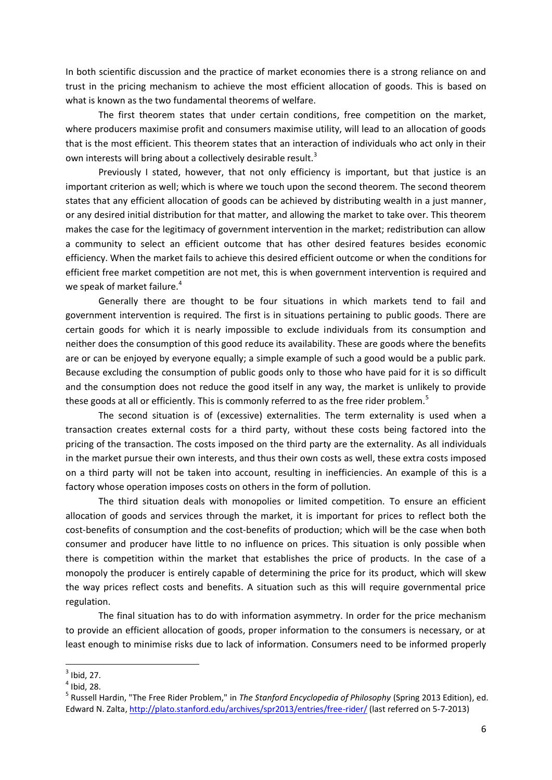In both scientific discussion and the practice of market economies there is a strong reliance on and trust in the pricing mechanism to achieve the most efficient allocation of goods. This is based on what is known as the two fundamental theorems of welfare.

The first theorem states that under certain conditions, free competition on the market, where producers maximise profit and consumers maximise utility, will lead to an allocation of goods that is the most efficient. This theorem states that an interaction of individuals who act only in their own interests will bring about a collectively desirable result.<sup>3</sup>

Previously I stated, however, that not only efficiency is important, but that justice is an important criterion as well; which is where we touch upon the second theorem. The second theorem states that any efficient allocation of goods can be achieved by distributing wealth in a just manner, or any desired initial distribution for that matter, and allowing the market to take over. This theorem makes the case for the legitimacy of government intervention in the market; redistribution can allow a community to select an efficient outcome that has other desired features besides economic efficiency. When the market fails to achieve this desired efficient outcome or when the conditions for efficient free market competition are not met, this is when government intervention is required and we speak of market failure.<sup>4</sup>

Generally there are thought to be four situations in which markets tend to fail and government intervention is required. The first is in situations pertaining to public goods. There are certain goods for which it is nearly impossible to exclude individuals from its consumption and neither does the consumption of this good reduce its availability. These are goods where the benefits are or can be enjoyed by everyone equally; a simple example of such a good would be a public park. Because excluding the consumption of public goods only to those who have paid for it is so difficult and the consumption does not reduce the good itself in any way, the market is unlikely to provide these goods at all or efficiently. This is commonly referred to as the free rider problem.<sup>5</sup>

The second situation is of (excessive) externalities. The term externality is used when a transaction creates external costs for a third party, without these costs being factored into the pricing of the transaction. The costs imposed on the third party are the externality. As all individuals in the market pursue their own interests, and thus their own costs as well, these extra costs imposed on a third party will not be taken into account, resulting in inefficiencies. An example of this is a factory whose operation imposes costs on others in the form of pollution.

The third situation deals with monopolies or limited competition. To ensure an efficient allocation of goods and services through the market, it is important for prices to reflect both the cost-benefits of consumption and the cost-benefits of production; which will be the case when both consumer and producer have little to no influence on prices. This situation is only possible when there is competition within the market that establishes the price of products. In the case of a monopoly the producer is entirely capable of determining the price for its product, which will skew the way prices reflect costs and benefits. A situation such as this will require governmental price regulation.

The final situation has to do with information asymmetry. In order for the price mechanism to provide an efficient allocation of goods, proper information to the consumers is necessary, or at least enough to minimise risks due to lack of information. Consumers need to be informed properly

 $3$  Ibid, 27.

 $<sup>4</sup>$  Ibid, 28.</sup>

<sup>5</sup> Russell Hardin, "The Free Rider Problem," in *The Stanford Encyclopedia of Philosophy* (Spring 2013 Edition), ed. Edward N. Zalta,<http://plato.stanford.edu/archives/spr2013/entries/free-rider/> (last referred on 5-7-2013)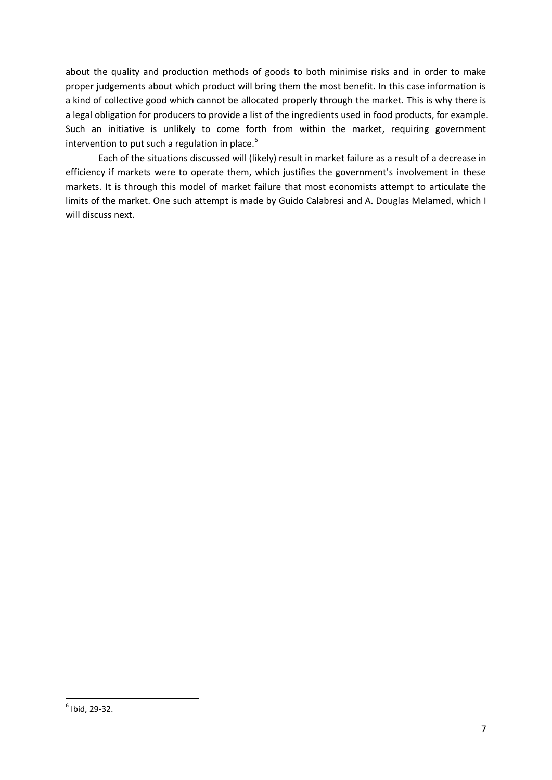about the quality and production methods of goods to both minimise risks and in order to make proper judgements about which product will bring them the most benefit. In this case information is a kind of collective good which cannot be allocated properly through the market. This is why there is a legal obligation for producers to provide a list of the ingredients used in food products, for example. Such an initiative is unlikely to come forth from within the market, requiring government intervention to put such a regulation in place.<sup>6</sup>

Each of the situations discussed will (likely) result in market failure as a result of a decrease in efficiency if markets were to operate them, which justifies the government's involvement in these markets. It is through this model of market failure that most economists attempt to articulate the limits of the market. One such attempt is made by Guido Calabresi and A. Douglas Melamed, which I will discuss next.

1

 $<sup>6</sup>$  Ibid, 29-32.</sup>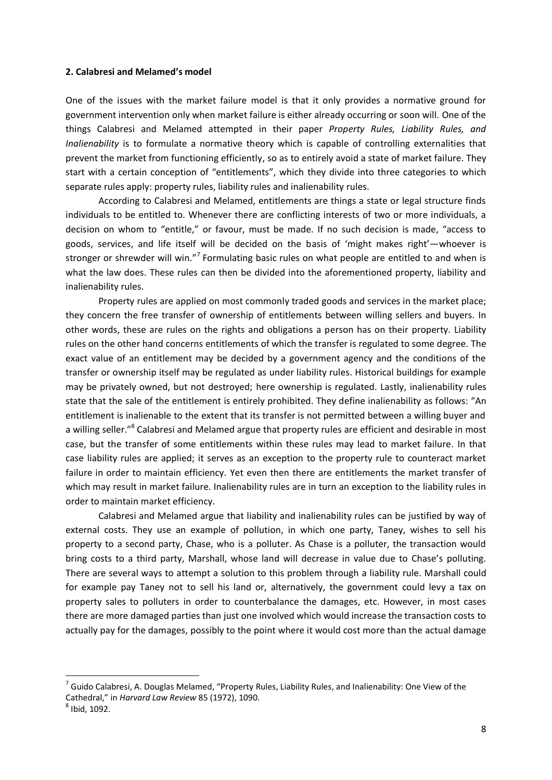#### **2. Calabresi and Melamed's model**

One of the issues with the market failure model is that it only provides a normative ground for government intervention only when market failure is either already occurring or soon will. One of the things Calabresi and Melamed attempted in their paper *Property Rules, Liability Rules, and Inalienability* is to formulate a normative theory which is capable of controlling externalities that prevent the market from functioning efficiently, so as to entirely avoid a state of market failure. They start with a certain conception of "entitlements", which they divide into three categories to which separate rules apply: property rules, liability rules and inalienability rules.

According to Calabresi and Melamed, entitlements are things a state or legal structure finds individuals to be entitled to. Whenever there are conflicting interests of two or more individuals, a decision on whom to "entitle," or favour, must be made. If no such decision is made, "access to goods, services, and life itself will be decided on the basis of 'might makes right'—whoever is stronger or shrewder will win."<sup>7</sup> Formulating basic rules on what people are entitled to and when is what the law does. These rules can then be divided into the aforementioned property, liability and inalienability rules.

Property rules are applied on most commonly traded goods and services in the market place; they concern the free transfer of ownership of entitlements between willing sellers and buyers. In other words, these are rules on the rights and obligations a person has on their property. Liability rules on the other hand concerns entitlements of which the transfer is regulated to some degree. The exact value of an entitlement may be decided by a government agency and the conditions of the transfer or ownership itself may be regulated as under liability rules. Historical buildings for example may be privately owned, but not destroyed; here ownership is regulated. Lastly, inalienability rules state that the sale of the entitlement is entirely prohibited. They define inalienability as follows: "An entitlement is inalienable to the extent that its transfer is not permitted between a willing buyer and a willing seller."<sup>8</sup> Calabresi and Melamed argue that property rules are efficient and desirable in most case, but the transfer of some entitlements within these rules may lead to market failure. In that case liability rules are applied; it serves as an exception to the property rule to counteract market failure in order to maintain efficiency. Yet even then there are entitlements the market transfer of which may result in market failure. Inalienability rules are in turn an exception to the liability rules in order to maintain market efficiency.

Calabresi and Melamed argue that liability and inalienability rules can be justified by way of external costs. They use an example of pollution, in which one party, Taney, wishes to sell his property to a second party, Chase, who is a polluter. As Chase is a polluter, the transaction would bring costs to a third party, Marshall, whose land will decrease in value due to Chase's polluting. There are several ways to attempt a solution to this problem through a liability rule. Marshall could for example pay Taney not to sell his land or, alternatively, the government could levy a tax on property sales to polluters in order to counterbalance the damages, etc. However, in most cases there are more damaged parties than just one involved which would increase the transaction costs to actually pay for the damages, possibly to the point where it would cost more than the actual damage

1

 $^7$  Guido Calabresi, A. Douglas Melamed, "Property Rules, Liability Rules, and Inalienability: One View of the Cathedral," in *Harvard Law Review* 85 (1972), 1090.

 $<sup>8</sup>$  Ibid, 1092.</sup>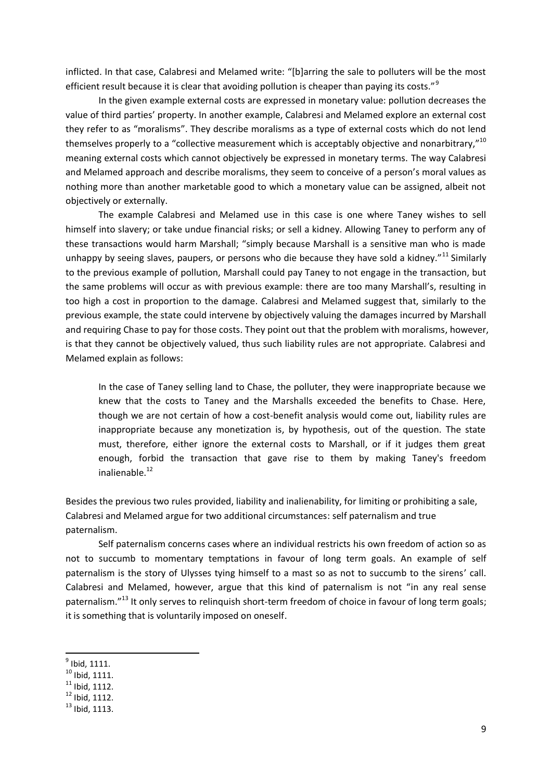inflicted. In that case, Calabresi and Melamed write: "[b]arring the sale to polluters will be the most efficient result because it is clear that avoiding pollution is cheaper than paying its costs."<sup>9</sup>

In the given example external costs are expressed in monetary value: pollution decreases the value of third parties' property. In another example, Calabresi and Melamed explore an external cost they refer to as "moralisms". They describe moralisms as a type of external costs which do not lend themselves properly to a "collective measurement which is acceptably objective and nonarbitrary,"<sup>10</sup> meaning external costs which cannot objectively be expressed in monetary terms. The way Calabresi and Melamed approach and describe moralisms, they seem to conceive of a person's moral values as nothing more than another marketable good to which a monetary value can be assigned, albeit not objectively or externally.

The example Calabresi and Melamed use in this case is one where Taney wishes to sell himself into slavery; or take undue financial risks; or sell a kidney. Allowing Taney to perform any of these transactions would harm Marshall; "simply because Marshall is a sensitive man who is made unhappy by seeing slaves, paupers, or persons who die because they have sold a kidney."<sup>11</sup> Similarly to the previous example of pollution, Marshall could pay Taney to not engage in the transaction, but the same problems will occur as with previous example: there are too many Marshall's, resulting in too high a cost in proportion to the damage. Calabresi and Melamed suggest that, similarly to the previous example, the state could intervene by objectively valuing the damages incurred by Marshall and requiring Chase to pay for those costs. They point out that the problem with moralisms, however, is that they cannot be objectively valued, thus such liability rules are not appropriate. Calabresi and Melamed explain as follows:

In the case of Taney selling land to Chase, the polluter, they were inappropriate because we knew that the costs to Taney and the Marshalls exceeded the benefits to Chase. Here, though we are not certain of how a cost-benefit analysis would come out, liability rules are inappropriate because any monetization is, by hypothesis, out of the question. The state must, therefore, either ignore the external costs to Marshall, or if it judges them great enough, forbid the transaction that gave rise to them by making Taney's freedom inalienable.<sup>12</sup>

Besides the previous two rules provided, liability and inalienability, for limiting or prohibiting a sale, Calabresi and Melamed argue for two additional circumstances: self paternalism and true paternalism.

Self paternalism concerns cases where an individual restricts his own freedom of action so as not to succumb to momentary temptations in favour of long term goals. An example of self paternalism is the story of Ulysses tying himself to a mast so as not to succumb to the sirens' call. Calabresi and Melamed, however, argue that this kind of paternalism is not "in any real sense paternalism."<sup>13</sup> It only serves to relinquish short-term freedom of choice in favour of long term goals; it is something that is voluntarily imposed on oneself.

 $^9$  Ibid, 1111.

 $10$  Ibid, 1111.

 $11$  Ibid. 1112.

 $12$  Ibid, 1112.

 $13$  Ibid, 1113.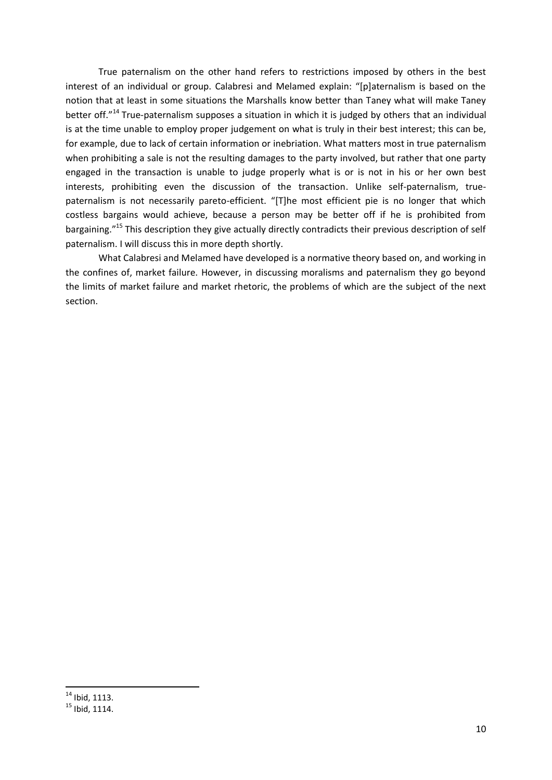True paternalism on the other hand refers to restrictions imposed by others in the best interest of an individual or group. Calabresi and Melamed explain: "[p]aternalism is based on the notion that at least in some situations the Marshalls know better than Taney what will make Taney better off."<sup>14</sup> True-paternalism supposes a situation in which it is judged by others that an individual is at the time unable to employ proper judgement on what is truly in their best interest; this can be, for example, due to lack of certain information or inebriation. What matters most in true paternalism when prohibiting a sale is not the resulting damages to the party involved, but rather that one party engaged in the transaction is unable to judge properly what is or is not in his or her own best interests, prohibiting even the discussion of the transaction. Unlike self-paternalism, truepaternalism is not necessarily pareto-efficient. "[T]he most efficient pie is no longer that which costless bargains would achieve, because a person may be better off if he is prohibited from bargaining."<sup>15</sup> This description they give actually directly contradicts their previous description of self paternalism. I will discuss this in more depth shortly.

What Calabresi and Melamed have developed is a normative theory based on, and working in the confines of, market failure. However, in discussing moralisms and paternalism they go beyond the limits of market failure and market rhetoric, the problems of which are the subject of the next section.

 $14$  Ibid, 1113.

 $15$  Ibid, 1114.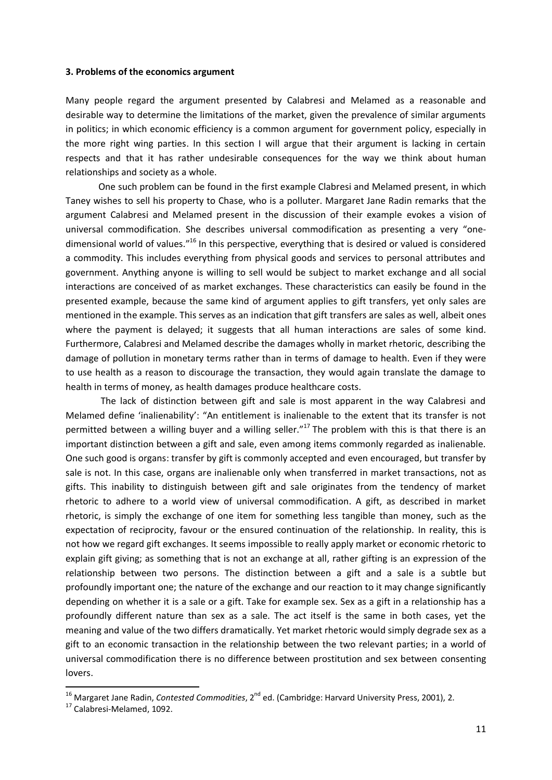#### **3. Problems of the economics argument**

Many people regard the argument presented by Calabresi and Melamed as a reasonable and desirable way to determine the limitations of the market, given the prevalence of similar arguments in politics; in which economic efficiency is a common argument for government policy, especially in the more right wing parties. In this section I will argue that their argument is lacking in certain respects and that it has rather undesirable consequences for the way we think about human relationships and society as a whole.

One such problem can be found in the first example Clabresi and Melamed present, in which Taney wishes to sell his property to Chase, who is a polluter. Margaret Jane Radin remarks that the argument Calabresi and Melamed present in the discussion of their example evokes a vision of universal commodification. She describes universal commodification as presenting a very "onedimensional world of values."<sup>16</sup> In this perspective, everything that is desired or valued is considered a commodity. This includes everything from physical goods and services to personal attributes and government. Anything anyone is willing to sell would be subject to market exchange and all social interactions are conceived of as market exchanges. These characteristics can easily be found in the presented example, because the same kind of argument applies to gift transfers, yet only sales are mentioned in the example. This serves as an indication that gift transfers are sales as well, albeit ones where the payment is delayed; it suggests that all human interactions are sales of some kind. Furthermore, Calabresi and Melamed describe the damages wholly in market rhetoric, describing the damage of pollution in monetary terms rather than in terms of damage to health. Even if they were to use health as a reason to discourage the transaction, they would again translate the damage to health in terms of money, as health damages produce healthcare costs.

The lack of distinction between gift and sale is most apparent in the way Calabresi and Melamed define 'inalienability': "An entitlement is inalienable to the extent that its transfer is not permitted between a willing buyer and a willing seller."<sup>17</sup> The problem with this is that there is an important distinction between a gift and sale, even among items commonly regarded as inalienable. One such good is organs: transfer by gift is commonly accepted and even encouraged, but transfer by sale is not. In this case, organs are inalienable only when transferred in market transactions, not as gifts. This inability to distinguish between gift and sale originates from the tendency of market rhetoric to adhere to a world view of universal commodification. A gift, as described in market rhetoric, is simply the exchange of one item for something less tangible than money, such as the expectation of reciprocity, favour or the ensured continuation of the relationship. In reality, this is not how we regard gift exchanges. It seems impossible to really apply market or economic rhetoric to explain gift giving; as something that is not an exchange at all, rather gifting is an expression of the relationship between two persons. The distinction between a gift and a sale is a subtle but profoundly important one; the nature of the exchange and our reaction to it may change significantly depending on whether it is a sale or a gift. Take for example sex. Sex as a gift in a relationship has a profoundly different nature than sex as a sale. The act itself is the same in both cases, yet the meaning and value of the two differs dramatically. Yet market rhetoric would simply degrade sex as a gift to an economic transaction in the relationship between the two relevant parties; in a world of universal commodification there is no difference between prostitution and sex between consenting lovers.

<sup>&</sup>lt;sup>16</sup> Margaret Jane Radin, *Contested Commodities*, 2<sup>nd</sup> ed. (Cambridge: Harvard University Press, 2001), 2.

<sup>17</sup> Calabresi-Melamed, 1092.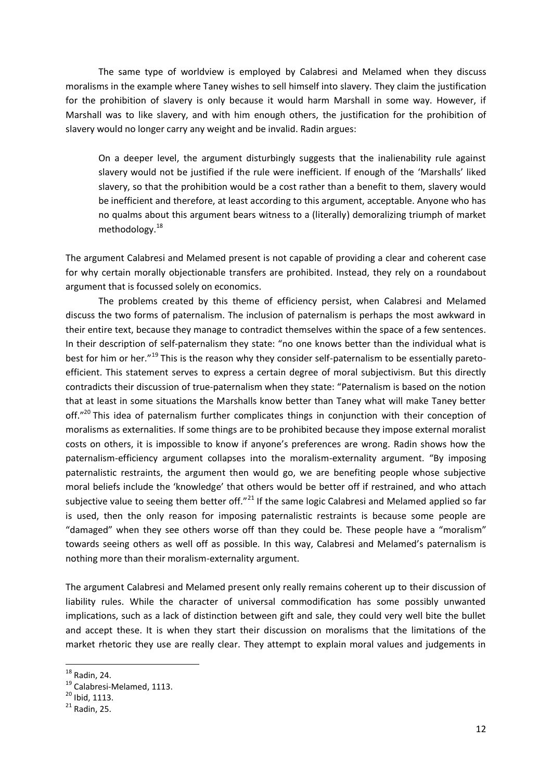The same type of worldview is employed by Calabresi and Melamed when they discuss moralisms in the example where Taney wishes to sell himself into slavery. They claim the justification for the prohibition of slavery is only because it would harm Marshall in some way. However, if Marshall was to like slavery, and with him enough others, the justification for the prohibition of slavery would no longer carry any weight and be invalid. Radin argues:

On a deeper level, the argument disturbingly suggests that the inalienability rule against slavery would not be justified if the rule were inefficient. If enough of the 'Marshalls' liked slavery, so that the prohibition would be a cost rather than a benefit to them, slavery would be inefficient and therefore, at least according to this argument, acceptable. Anyone who has no qualms about this argument bears witness to a (literally) demoralizing triumph of market methodology.<sup>18</sup>

The argument Calabresi and Melamed present is not capable of providing a clear and coherent case for why certain morally objectionable transfers are prohibited. Instead, they rely on a roundabout argument that is focussed solely on economics.

The problems created by this theme of efficiency persist, when Calabresi and Melamed discuss the two forms of paternalism. The inclusion of paternalism is perhaps the most awkward in their entire text, because they manage to contradict themselves within the space of a few sentences. In their description of self-paternalism they state: "no one knows better than the individual what is best for him or her."<sup>19</sup> This is the reason why they consider self-paternalism to be essentially paretoefficient. This statement serves to express a certain degree of moral subjectivism. But this directly contradicts their discussion of true-paternalism when they state: "Paternalism is based on the notion that at least in some situations the Marshalls know better than Taney what will make Taney better off."<sup>20</sup> This idea of paternalism further complicates things in conjunction with their conception of moralisms as externalities. If some things are to be prohibited because they impose external moralist costs on others, it is impossible to know if anyone's preferences are wrong. Radin shows how the paternalism-efficiency argument collapses into the moralism-externality argument. "By imposing paternalistic restraints, the argument then would go, we are benefiting people whose subjective moral beliefs include the 'knowledge' that others would be better off if restrained, and who attach subjective value to seeing them better off."<sup>21</sup> If the same logic Calabresi and Melamed applied so far is used, then the only reason for imposing paternalistic restraints is because some people are "damaged" when they see others worse off than they could be. These people have a "moralism" towards seeing others as well off as possible. In this way, Calabresi and Melamed's paternalism is nothing more than their moralism-externality argument.

The argument Calabresi and Melamed present only really remains coherent up to their discussion of liability rules. While the character of universal commodification has some possibly unwanted implications, such as a lack of distinction between gift and sale, they could very well bite the bullet and accept these. It is when they start their discussion on moralisms that the limitations of the market rhetoric they use are really clear. They attempt to explain moral values and judgements in

 $18$  Radin, 24.

<sup>&</sup>lt;sup>19</sup> Calabresi-Melamed, 1113.

 $^{20}$  Ibid, 1113.

 $21$  Radin, 25.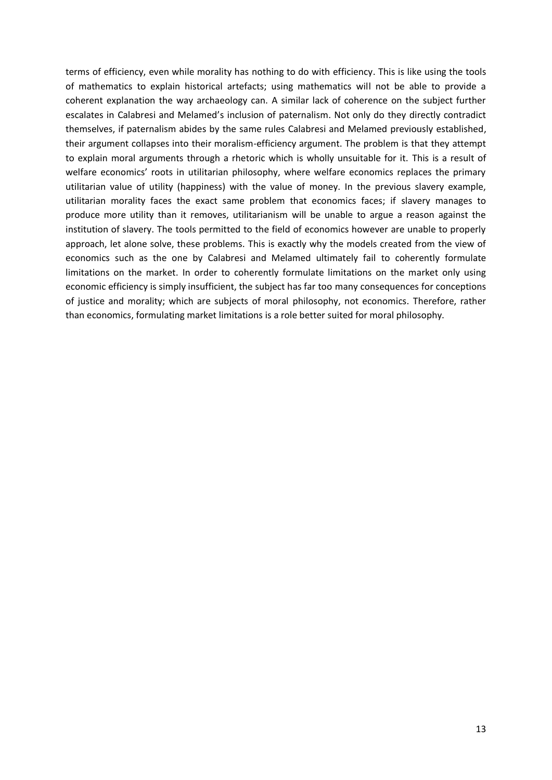terms of efficiency, even while morality has nothing to do with efficiency. This is like using the tools of mathematics to explain historical artefacts; using mathematics will not be able to provide a coherent explanation the way archaeology can. A similar lack of coherence on the subject further escalates in Calabresi and Melamed's inclusion of paternalism. Not only do they directly contradict themselves, if paternalism abides by the same rules Calabresi and Melamed previously established, their argument collapses into their moralism-efficiency argument. The problem is that they attempt to explain moral arguments through a rhetoric which is wholly unsuitable for it. This is a result of welfare economics' roots in utilitarian philosophy, where welfare economics replaces the primary utilitarian value of utility (happiness) with the value of money. In the previous slavery example, utilitarian morality faces the exact same problem that economics faces; if slavery manages to produce more utility than it removes, utilitarianism will be unable to argue a reason against the institution of slavery. The tools permitted to the field of economics however are unable to properly approach, let alone solve, these problems. This is exactly why the models created from the view of economics such as the one by Calabresi and Melamed ultimately fail to coherently formulate limitations on the market. In order to coherently formulate limitations on the market only using economic efficiency is simply insufficient, the subject has far too many consequences for conceptions of justice and morality; which are subjects of moral philosophy, not economics. Therefore, rather than economics, formulating market limitations is a role better suited for moral philosophy.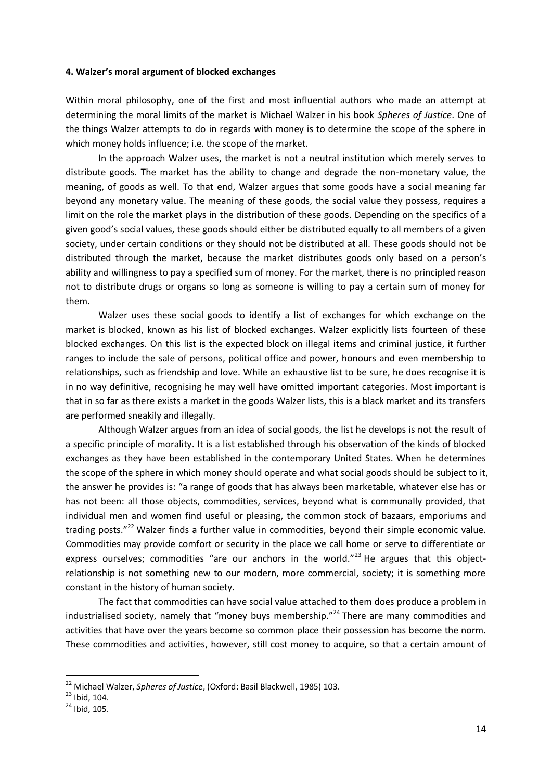#### **4. Walzer's moral argument of blocked exchanges**

Within moral philosophy, one of the first and most influential authors who made an attempt at determining the moral limits of the market is Michael Walzer in his book *Spheres of Justice*. One of the things Walzer attempts to do in regards with money is to determine the scope of the sphere in which money holds influence; i.e. the scope of the market.

In the approach Walzer uses, the market is not a neutral institution which merely serves to distribute goods. The market has the ability to change and degrade the non-monetary value, the meaning, of goods as well. To that end, Walzer argues that some goods have a social meaning far beyond any monetary value. The meaning of these goods, the social value they possess, requires a limit on the role the market plays in the distribution of these goods. Depending on the specifics of a given good's social values, these goods should either be distributed equally to all members of a given society, under certain conditions or they should not be distributed at all. These goods should not be distributed through the market, because the market distributes goods only based on a person's ability and willingness to pay a specified sum of money. For the market, there is no principled reason not to distribute drugs or organs so long as someone is willing to pay a certain sum of money for them.

Walzer uses these social goods to identify a list of exchanges for which exchange on the market is blocked, known as his list of blocked exchanges. Walzer explicitly lists fourteen of these blocked exchanges. On this list is the expected block on illegal items and criminal justice, it further ranges to include the sale of persons, political office and power, honours and even membership to relationships, such as friendship and love. While an exhaustive list to be sure, he does recognise it is in no way definitive, recognising he may well have omitted important categories. Most important is that in so far as there exists a market in the goods Walzer lists, this is a black market and its transfers are performed sneakily and illegally.

Although Walzer argues from an idea of social goods, the list he develops is not the result of a specific principle of morality. It is a list established through his observation of the kinds of blocked exchanges as they have been established in the contemporary United States. When he determines the scope of the sphere in which money should operate and what social goods should be subject to it, the answer he provides is: "a range of goods that has always been marketable, whatever else has or has not been: all those objects, commodities, services, beyond what is communally provided, that individual men and women find useful or pleasing, the common stock of bazaars, emporiums and trading posts."<sup>22</sup> Walzer finds a further value in commodities, beyond their simple economic value. Commodities may provide comfort or security in the place we call home or serve to differentiate or express ourselves; commodities "are our anchors in the world."<sup>23</sup> He argues that this objectrelationship is not something new to our modern, more commercial, society; it is something more constant in the history of human society.

The fact that commodities can have social value attached to them does produce a problem in industrialised society, namely that "money buys membership."<sup>24</sup> There are many commodities and activities that have over the years become so common place their possession has become the norm. These commodities and activities, however, still cost money to acquire, so that a certain amount of

1

<sup>22</sup> Michael Walzer, *Spheres of Justice*, (Oxford: Basil Blackwell, 1985) 103.

 $^{23}$  Ibid, 104.

 $^{24}$  Ibid, 105.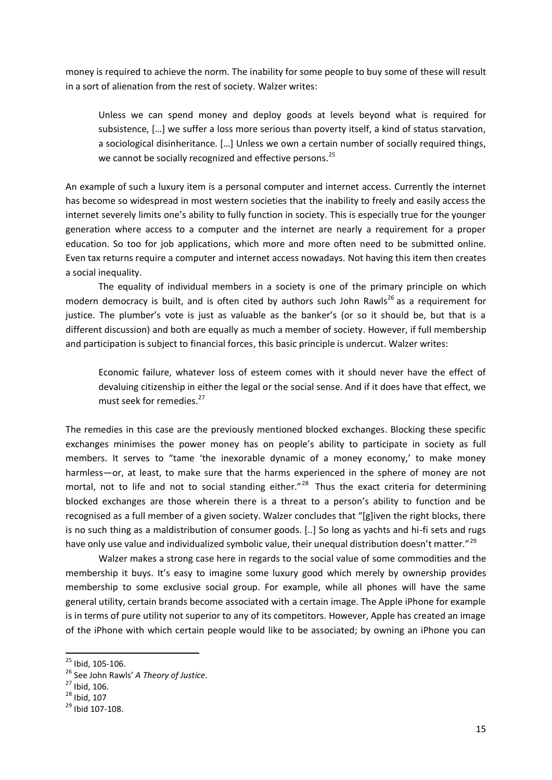money is required to achieve the norm. The inability for some people to buy some of these will result in a sort of alienation from the rest of society. Walzer writes:

Unless we can spend money and deploy goods at levels beyond what is required for subsistence, […] we suffer a loss more serious than poverty itself, a kind of status starvation, a sociological disinheritance. […] Unless we own a certain number of socially required things, we cannot be socially recognized and effective persons.<sup>25</sup>

An example of such a luxury item is a personal computer and internet access. Currently the internet has become so widespread in most western societies that the inability to freely and easily access the internet severely limits one's ability to fully function in society. This is especially true for the younger generation where access to a computer and the internet are nearly a requirement for a proper education. So too for job applications, which more and more often need to be submitted online. Even tax returns require a computer and internet access nowadays. Not having this item then creates a social inequality.

The equality of individual members in a society is one of the primary principle on which modern democracy is built, and is often cited by authors such John Rawls<sup>26</sup> as a requirement for justice. The plumber's vote is just as valuable as the banker's (or so it should be, but that is a different discussion) and both are equally as much a member of society. However, if full membership and participation is subject to financial forces, this basic principle is undercut. Walzer writes:

Economic failure, whatever loss of esteem comes with it should never have the effect of devaluing citizenship in either the legal or the social sense. And if it does have that effect, we must seek for remedies.<sup>27</sup>

The remedies in this case are the previously mentioned blocked exchanges. Blocking these specific exchanges minimises the power money has on people's ability to participate in society as full members. It serves to "tame 'the inexorable dynamic of a money economy,' to make money harmless—or, at least, to make sure that the harms experienced in the sphere of money are not mortal, not to life and not to social standing either."<sup>28</sup> Thus the exact criteria for determining blocked exchanges are those wherein there is a threat to a person's ability to function and be recognised as a full member of a given society. Walzer concludes that "[g]iven the right blocks, there is no such thing as a maldistribution of consumer goods. [..] So long as yachts and hi-fi sets and rugs have only use value and individualized symbolic value, their unequal distribution doesn't matter."<sup>29</sup>

Walzer makes a strong case here in regards to the social value of some commodities and the membership it buys. It's easy to imagine some luxury good which merely by ownership provides membership to some exclusive social group. For example, while all phones will have the same general utility, certain brands become associated with a certain image. The Apple iPhone for example is in terms of pure utility not superior to any of its competitors. However, Apple has created an image of the iPhone with which certain people would like to be associated; by owning an iPhone you can

<sup>&</sup>lt;sup>25</sup> Ibid, 105-106.

<sup>26</sup> See John Rawls' *A Theory of Justice.*

 $27$  Ibid, 106.

 $^{28}$  Ibid, 107

 $29$  Ibid 107-108.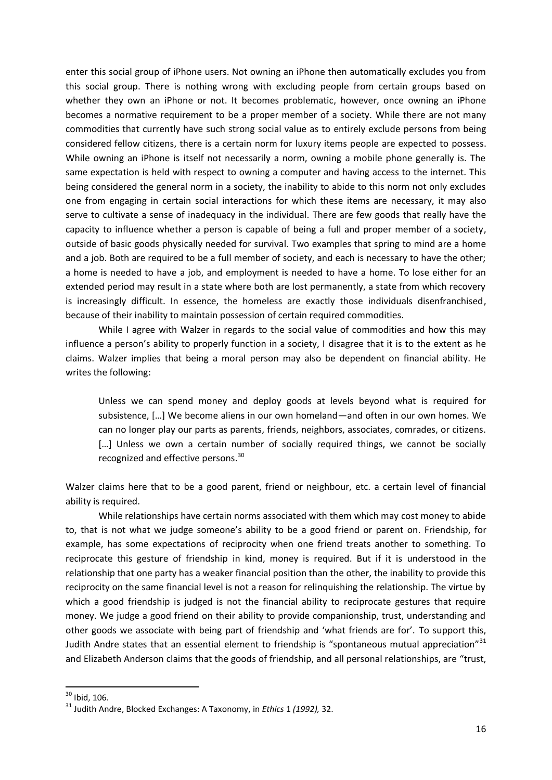enter this social group of iPhone users. Not owning an iPhone then automatically excludes you from this social group. There is nothing wrong with excluding people from certain groups based on whether they own an iPhone or not. It becomes problematic, however, once owning an iPhone becomes a normative requirement to be a proper member of a society. While there are not many commodities that currently have such strong social value as to entirely exclude persons from being considered fellow citizens, there is a certain norm for luxury items people are expected to possess. While owning an iPhone is itself not necessarily a norm, owning a mobile phone generally is. The same expectation is held with respect to owning a computer and having access to the internet. This being considered the general norm in a society, the inability to abide to this norm not only excludes one from engaging in certain social interactions for which these items are necessary, it may also serve to cultivate a sense of inadequacy in the individual. There are few goods that really have the capacity to influence whether a person is capable of being a full and proper member of a society, outside of basic goods physically needed for survival. Two examples that spring to mind are a home and a job. Both are required to be a full member of society, and each is necessary to have the other; a home is needed to have a job, and employment is needed to have a home. To lose either for an extended period may result in a state where both are lost permanently, a state from which recovery is increasingly difficult. In essence, the homeless are exactly those individuals disenfranchised, because of their inability to maintain possession of certain required commodities.

While I agree with Walzer in regards to the social value of commodities and how this may influence a person's ability to properly function in a society, I disagree that it is to the extent as he claims. Walzer implies that being a moral person may also be dependent on financial ability. He writes the following:

Unless we can spend money and deploy goods at levels beyond what is required for subsistence, […] We become aliens in our own homeland—and often in our own homes. We can no longer play our parts as parents, friends, neighbors, associates, comrades, or citizens. [...] Unless we own a certain number of socially required things, we cannot be socially recognized and effective persons.<sup>30</sup>

Walzer claims here that to be a good parent, friend or neighbour, etc. a certain level of financial ability is required.

While relationships have certain norms associated with them which may cost money to abide to, that is not what we judge someone's ability to be a good friend or parent on. Friendship, for example, has some expectations of reciprocity when one friend treats another to something. To reciprocate this gesture of friendship in kind, money is required. But if it is understood in the relationship that one party has a weaker financial position than the other, the inability to provide this reciprocity on the same financial level is not a reason for relinquishing the relationship. The virtue by which a good friendship is judged is not the financial ability to reciprocate gestures that require money. We judge a good friend on their ability to provide companionship, trust, understanding and other goods we associate with being part of friendship and 'what friends are for'. To support this, Judith Andre states that an essential element to friendship is "spontaneous mutual appreciation"<sup>31</sup> and Elizabeth Anderson claims that the goods of friendship, and all personal relationships, are "trust,

 $30$  Ibid, 106.

<sup>31</sup> Judith Andre, Blocked Exchanges: A Taxonomy, in *Ethics* 1 *(1992),* 32.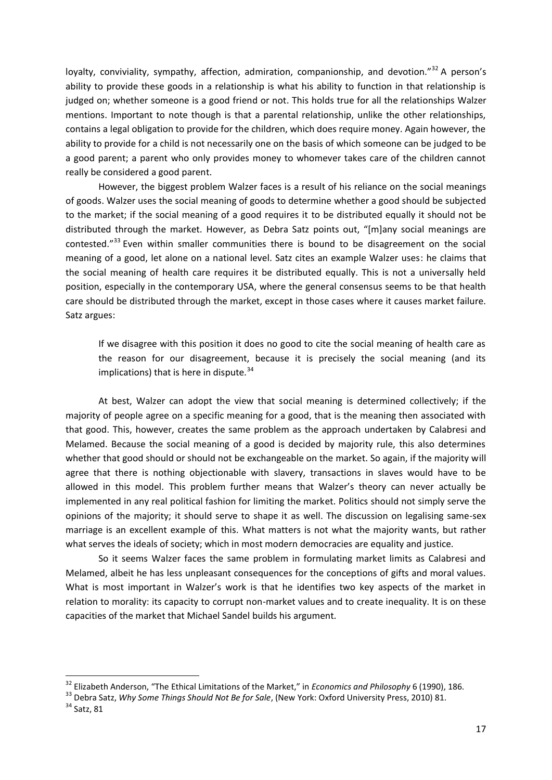loyalty, conviviality, sympathy, affection, admiration, companionship, and devotion." $32$  A person's ability to provide these goods in a relationship is what his ability to function in that relationship is judged on; whether someone is a good friend or not. This holds true for all the relationships Walzer mentions. Important to note though is that a parental relationship, unlike the other relationships, contains a legal obligation to provide for the children, which does require money. Again however, the ability to provide for a child is not necessarily one on the basis of which someone can be judged to be a good parent; a parent who only provides money to whomever takes care of the children cannot really be considered a good parent.

However, the biggest problem Walzer faces is a result of his reliance on the social meanings of goods. Walzer uses the social meaning of goods to determine whether a good should be subjected to the market; if the social meaning of a good requires it to be distributed equally it should not be distributed through the market. However, as Debra Satz points out, "[m]any social meanings are contested."<sup>33</sup> Even within smaller communities there is bound to be disagreement on the social meaning of a good, let alone on a national level. Satz cites an example Walzer uses: he claims that the social meaning of health care requires it be distributed equally. This is not a universally held position, especially in the contemporary USA, where the general consensus seems to be that health care should be distributed through the market, except in those cases where it causes market failure. Satz argues:

If we disagree with this position it does no good to cite the social meaning of health care as the reason for our disagreement, because it is precisely the social meaning (and its implications) that is here in dispute. $34$ 

At best, Walzer can adopt the view that social meaning is determined collectively; if the majority of people agree on a specific meaning for a good, that is the meaning then associated with that good. This, however, creates the same problem as the approach undertaken by Calabresi and Melamed. Because the social meaning of a good is decided by majority rule, this also determines whether that good should or should not be exchangeable on the market. So again, if the majority will agree that there is nothing objectionable with slavery, transactions in slaves would have to be allowed in this model. This problem further means that Walzer's theory can never actually be implemented in any real political fashion for limiting the market. Politics should not simply serve the opinions of the majority; it should serve to shape it as well. The discussion on legalising same-sex marriage is an excellent example of this. What matters is not what the majority wants, but rather what serves the ideals of society; which in most modern democracies are equality and justice.

So it seems Walzer faces the same problem in formulating market limits as Calabresi and Melamed, albeit he has less unpleasant consequences for the conceptions of gifts and moral values. What is most important in Walzer's work is that he identifies two key aspects of the market in relation to morality: its capacity to corrupt non-market values and to create inequality. It is on these capacities of the market that Michael Sandel builds his argument.

1

<sup>32</sup> Elizabeth Anderson, "The Ethical Limitations of the Market," in *Economics and Philosophy* 6 (1990), 186.

<sup>33</sup> Debra Satz, *Why Some Things Should Not Be for Sale*, (New York: Oxford University Press, 2010) 81.

 $34$  Satz, 81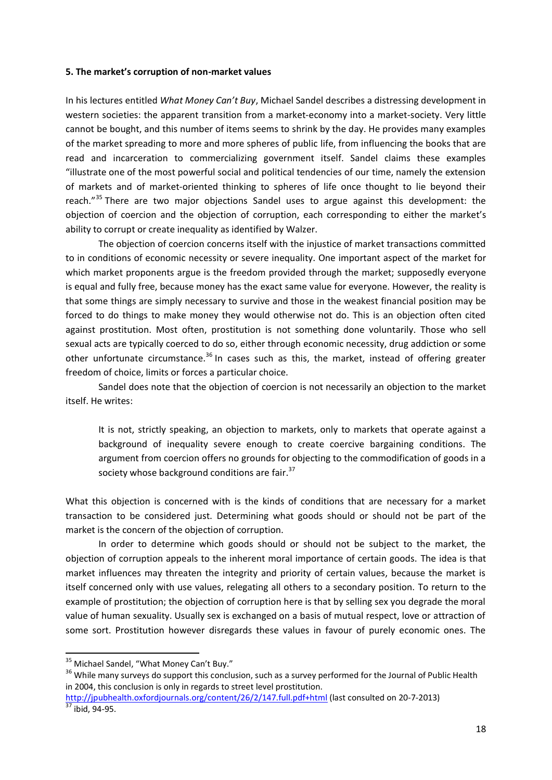#### **5. The market's corruption of non-market values**

In his lectures entitled *What Money Can't Buy*, Michael Sandel describes a distressing development in western societies: the apparent transition from a market-economy into a market-society. Very little cannot be bought, and this number of items seems to shrink by the day. He provides many examples of the market spreading to more and more spheres of public life, from influencing the books that are read and incarceration to commercializing government itself. Sandel claims these examples "illustrate one of the most powerful social and political tendencies of our time, namely the extension of markets and of market-oriented thinking to spheres of life once thought to lie beyond their reach."<sup>35</sup> There are two major objections Sandel uses to argue against this development: the objection of coercion and the objection of corruption, each corresponding to either the market's ability to corrupt or create inequality as identified by Walzer.

The objection of coercion concerns itself with the injustice of market transactions committed to in conditions of economic necessity or severe inequality. One important aspect of the market for which market proponents argue is the freedom provided through the market; supposedly everyone is equal and fully free, because money has the exact same value for everyone. However, the reality is that some things are simply necessary to survive and those in the weakest financial position may be forced to do things to make money they would otherwise not do. This is an objection often cited against prostitution. Most often, prostitution is not something done voluntarily. Those who sell sexual acts are typically coerced to do so, either through economic necessity, drug addiction or some other unfortunate circumstance.<sup>36</sup> In cases such as this, the market, instead of offering greater freedom of choice, limits or forces a particular choice.

Sandel does note that the objection of coercion is not necessarily an objection to the market itself. He writes:

It is not, strictly speaking, an objection to markets, only to markets that operate against a background of inequality severe enough to create coercive bargaining conditions. The argument from coercion offers no grounds for objecting to the commodification of goods in a society whose background conditions are fair.<sup>37</sup>

What this objection is concerned with is the kinds of conditions that are necessary for a market transaction to be considered just. Determining what goods should or should not be part of the market is the concern of the objection of corruption.

In order to determine which goods should or should not be subject to the market, the objection of corruption appeals to the inherent moral importance of certain goods. The idea is that market influences may threaten the integrity and priority of certain values, because the market is itself concerned only with use values, relegating all others to a secondary position. To return to the example of prostitution; the objection of corruption here is that by selling sex you degrade the moral value of human sexuality. Usually sex is exchanged on a basis of mutual respect, love or attraction of some sort. Prostitution however disregards these values in favour of purely economic ones. The

<sup>&</sup>lt;sup>35</sup> Michael Sandel, "What Money Can't Buy."

<sup>&</sup>lt;sup>36</sup> While many surveys do support this conclusion, such as a survey performed for the Journal of Public Health in 2004, this conclusion is only in regards to street level prostitution.

<http://jpubhealth.oxfordjournals.org/content/26/2/147.full.pdf+html> (last consulted on 20-7-2013)  $\frac{37}{37}$  ibid, 94-95.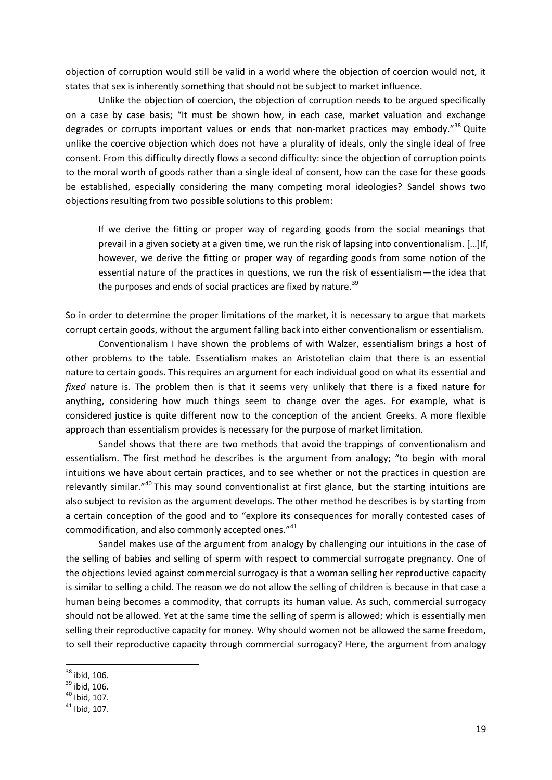objection of corruption would still be valid in a world where the objection of coercion would not, it states that sex is inherently something that should not be subject to market influence.

Unlike the objection of coercion, the objection of corruption needs to be argued specifically on a case by case basis; "It must be shown how, in each case, market valuation and exchange degrades or corrupts important values or ends that non-market practices may embody."<sup>38</sup> Quite unlike the coercive objection which does not have a plurality of ideals, only the single ideal of free consent. From this difficulty directly flows a second difficulty: since the objection of corruption points to the moral worth of goods rather than a single ideal of consent, how can the case for these goods be established, especially considering the many competing moral ideologies? Sandel shows two objections resulting from two possible solutions to this problem:

If we derive the fitting or proper way of regarding goods from the social meanings that prevail in a given society at a given time, we run the risk of lapsing into conventionalism. […]If, however, we derive the fitting or proper way of regarding goods from some notion of the essential nature of the practices in questions, we run the risk of essentialism—the idea that the purposes and ends of social practices are fixed by nature.<sup>39</sup>

So in order to determine the proper limitations of the market, it is necessary to argue that markets corrupt certain goods, without the argument falling back into either conventionalism or essentialism.

Conventionalism I have shown the problems of with Walzer, essentialism brings a host of other problems to the table. Essentialism makes an Aristotelian claim that there is an essential nature to certain goods. This requires an argument for each individual good on what its essential and *fixed* nature is. The problem then is that it seems very unlikely that there is a fixed nature for anything, considering how much things seem to change over the ages. For example, what is considered justice is quite different now to the conception of the ancient Greeks. A more flexible approach than essentialism provides is necessary for the purpose of market limitation.

Sandel shows that there are two methods that avoid the trappings of conventionalism and essentialism. The first method he describes is the argument from analogy; "to begin with moral intuitions we have about certain practices, and to see whether or not the practices in question are relevantly similar."<sup>40</sup> This may sound conventionalist at first glance, but the starting intuitions are also subject to revision as the argument develops. The other method he describes is by starting from a certain conception of the good and to "explore its consequences for morally contested cases of commodification, and also commonly accepted ones."<sup>41</sup>

Sandel makes use of the argument from analogy by challenging our intuitions in the case of the selling of babies and selling of sperm with respect to commercial surrogate pregnancy. One of the objections levied against commercial surrogacy is that a woman selling her reproductive capacity is similar to selling a child. The reason we do not allow the selling of children is because in that case a human being becomes a commodity, that corrupts its human value. As such, commercial surrogacy should not be allowed. Yet at the same time the selling of sperm is allowed; which is essentially men selling their reproductive capacity for money. Why should women not be allowed the same freedom, to sell their reproductive capacity through commercial surrogacy? Here, the argument from analogy

 $38$  ibid, 106.

 $39$  ibid. 106.

 $40$  Ibid, 107.

 $41$  Ibid, 107.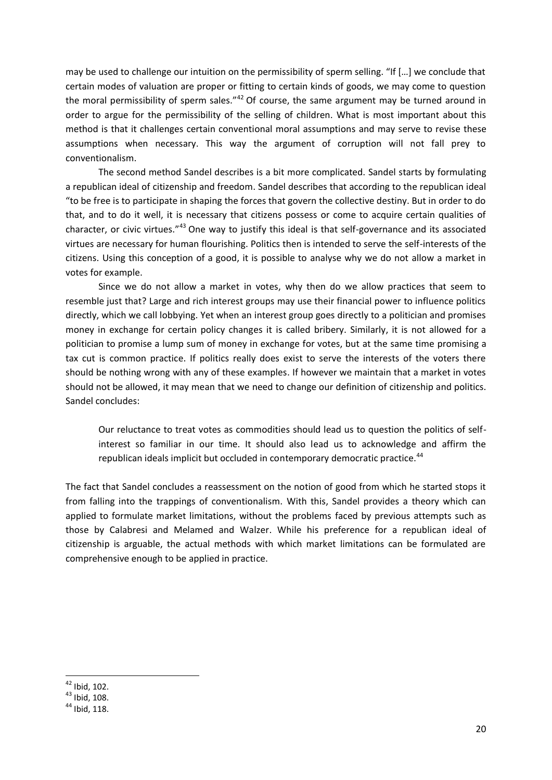may be used to challenge our intuition on the permissibility of sperm selling. "If […] we conclude that certain modes of valuation are proper or fitting to certain kinds of goods, we may come to question the moral permissibility of sperm sales." $42$  Of course, the same argument may be turned around in order to argue for the permissibility of the selling of children. What is most important about this method is that it challenges certain conventional moral assumptions and may serve to revise these assumptions when necessary. This way the argument of corruption will not fall prey to conventionalism.

The second method Sandel describes is a bit more complicated. Sandel starts by formulating a republican ideal of citizenship and freedom. Sandel describes that according to the republican ideal "to be free is to participate in shaping the forces that govern the collective destiny. But in order to do that, and to do it well, it is necessary that citizens possess or come to acquire certain qualities of character, or civic virtues."<sup>43</sup> One way to justify this ideal is that self-governance and its associated virtues are necessary for human flourishing. Politics then is intended to serve the self-interests of the citizens. Using this conception of a good, it is possible to analyse why we do not allow a market in votes for example.

Since we do not allow a market in votes, why then do we allow practices that seem to resemble just that? Large and rich interest groups may use their financial power to influence politics directly, which we call lobbying. Yet when an interest group goes directly to a politician and promises money in exchange for certain policy changes it is called bribery. Similarly, it is not allowed for a politician to promise a lump sum of money in exchange for votes, but at the same time promising a tax cut is common practice. If politics really does exist to serve the interests of the voters there should be nothing wrong with any of these examples. If however we maintain that a market in votes should not be allowed, it may mean that we need to change our definition of citizenship and politics. Sandel concludes:

Our reluctance to treat votes as commodities should lead us to question the politics of selfinterest so familiar in our time. It should also lead us to acknowledge and affirm the republican ideals implicit but occluded in contemporary democratic practice.<sup>44</sup>

The fact that Sandel concludes a reassessment on the notion of good from which he started stops it from falling into the trappings of conventionalism. With this, Sandel provides a theory which can applied to formulate market limitations, without the problems faced by previous attempts such as those by Calabresi and Melamed and Walzer. While his preference for a republican ideal of citizenship is arguable, the actual methods with which market limitations can be formulated are comprehensive enough to be applied in practice.

<sup>1</sup>  $42$  Ibid, 102.

 $43$  Ibid, 108.

 $44$  Ibid, 118.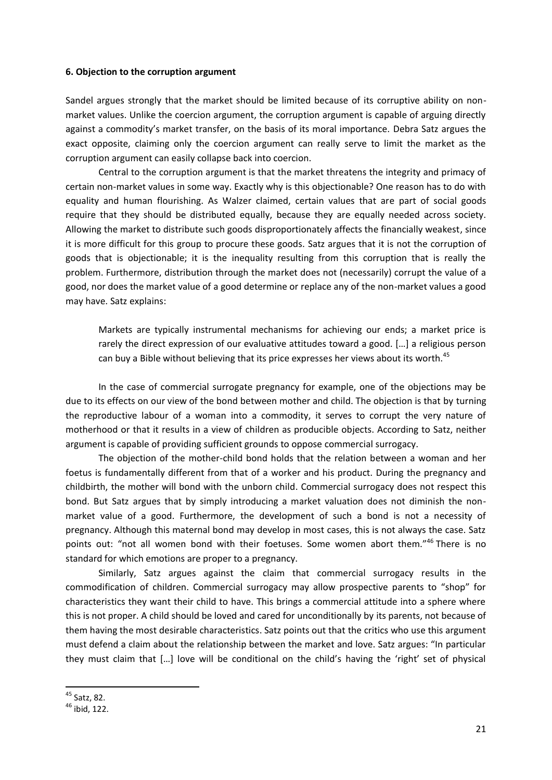#### **6. Objection to the corruption argument**

Sandel argues strongly that the market should be limited because of its corruptive ability on nonmarket values. Unlike the coercion argument, the corruption argument is capable of arguing directly against a commodity's market transfer, on the basis of its moral importance. Debra Satz argues the exact opposite, claiming only the coercion argument can really serve to limit the market as the corruption argument can easily collapse back into coercion.

Central to the corruption argument is that the market threatens the integrity and primacy of certain non-market values in some way. Exactly why is this objectionable? One reason has to do with equality and human flourishing. As Walzer claimed, certain values that are part of social goods require that they should be distributed equally, because they are equally needed across society. Allowing the market to distribute such goods disproportionately affects the financially weakest, since it is more difficult for this group to procure these goods. Satz argues that it is not the corruption of goods that is objectionable; it is the inequality resulting from this corruption that is really the problem. Furthermore, distribution through the market does not (necessarily) corrupt the value of a good, nor does the market value of a good determine or replace any of the non-market values a good may have. Satz explains:

Markets are typically instrumental mechanisms for achieving our ends; a market price is rarely the direct expression of our evaluative attitudes toward a good. […] a religious person can buy a Bible without believing that its price expresses her views about its worth.<sup>45</sup>

In the case of commercial surrogate pregnancy for example, one of the objections may be due to its effects on our view of the bond between mother and child. The objection is that by turning the reproductive labour of a woman into a commodity, it serves to corrupt the very nature of motherhood or that it results in a view of children as producible objects. According to Satz, neither argument is capable of providing sufficient grounds to oppose commercial surrogacy.

The objection of the mother-child bond holds that the relation between a woman and her foetus is fundamentally different from that of a worker and his product. During the pregnancy and childbirth, the mother will bond with the unborn child. Commercial surrogacy does not respect this bond. But Satz argues that by simply introducing a market valuation does not diminish the nonmarket value of a good. Furthermore, the development of such a bond is not a necessity of pregnancy. Although this maternal bond may develop in most cases, this is not always the case. Satz points out: "not all women bond with their foetuses. Some women abort them."<sup>46</sup> There is no standard for which emotions are proper to a pregnancy.

Similarly, Satz argues against the claim that commercial surrogacy results in the commodification of children. Commercial surrogacy may allow prospective parents to "shop" for characteristics they want their child to have. This brings a commercial attitude into a sphere where this is not proper. A child should be loved and cared for unconditionally by its parents, not because of them having the most desirable characteristics. Satz points out that the critics who use this argument must defend a claim about the relationship between the market and love. Satz argues: "In particular they must claim that […] love will be conditional on the child's having the 'right' set of physical

<sup>&</sup>lt;sup>45</sup> Satz, 82.

<sup>46</sup> ibid, 122.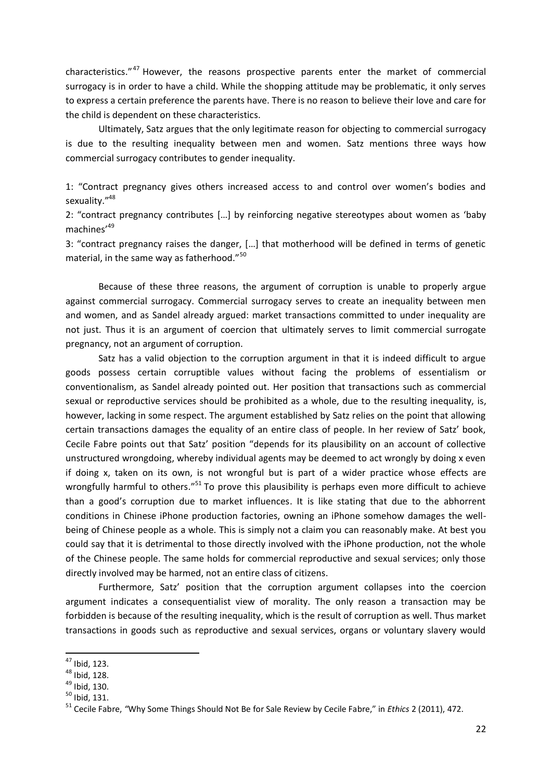characteristics."<sup>47</sup> However, the reasons prospective parents enter the market of commercial surrogacy is in order to have a child. While the shopping attitude may be problematic, it only serves to express a certain preference the parents have. There is no reason to believe their love and care for the child is dependent on these characteristics.

Ultimately, Satz argues that the only legitimate reason for objecting to commercial surrogacy is due to the resulting inequality between men and women. Satz mentions three ways how commercial surrogacy contributes to gender inequality.

1: "Contract pregnancy gives others increased access to and control over women's bodies and sexuality."<sup>48</sup>

2: "contract pregnancy contributes […] by reinforcing negative stereotypes about women as 'baby machines'<sup>49</sup>

3: "contract pregnancy raises the danger, […] that motherhood will be defined in terms of genetic material, in the same way as fatherhood."<sup>50</sup>

Because of these three reasons, the argument of corruption is unable to properly argue against commercial surrogacy. Commercial surrogacy serves to create an inequality between men and women, and as Sandel already argued: market transactions committed to under inequality are not just. Thus it is an argument of coercion that ultimately serves to limit commercial surrogate pregnancy, not an argument of corruption.

Satz has a valid objection to the corruption argument in that it is indeed difficult to argue goods possess certain corruptible values without facing the problems of essentialism or conventionalism, as Sandel already pointed out. Her position that transactions such as commercial sexual or reproductive services should be prohibited as a whole, due to the resulting inequality, is, however, lacking in some respect. The argument established by Satz relies on the point that allowing certain transactions damages the equality of an entire class of people. In her review of Satz' book, Cecile Fabre points out that Satz' position "depends for its plausibility on an account of collective unstructured wrongdoing, whereby individual agents may be deemed to act wrongly by doing x even if doing x, taken on its own, is not wrongful but is part of a wider practice whose effects are wrongfully harmful to others."<sup>51</sup> To prove this plausibility is perhaps even more difficult to achieve than a good's corruption due to market influences. It is like stating that due to the abhorrent conditions in Chinese iPhone production factories, owning an iPhone somehow damages the wellbeing of Chinese people as a whole. This is simply not a claim you can reasonably make. At best you could say that it is detrimental to those directly involved with the iPhone production, not the whole of the Chinese people. The same holds for commercial reproductive and sexual services; only those directly involved may be harmed, not an entire class of citizens.

Furthermore, Satz' position that the corruption argument collapses into the coercion argument indicates a consequentialist view of morality. The only reason a transaction may be forbidden is because of the resulting inequality, which is the result of corruption as well. Thus market transactions in goods such as reproductive and sexual services, organs or voluntary slavery would

 $47$  Ibid, 123.

<sup>48</sup> Ibid, 128.

 $49$  Ibid, 130.

 $50$  Ibid, 131.

<sup>51</sup> Cecile Fabre, *"*Why Some Things Should Not Be for Sale Review by Cecile Fabre," in *Ethics* 2 (2011), 472.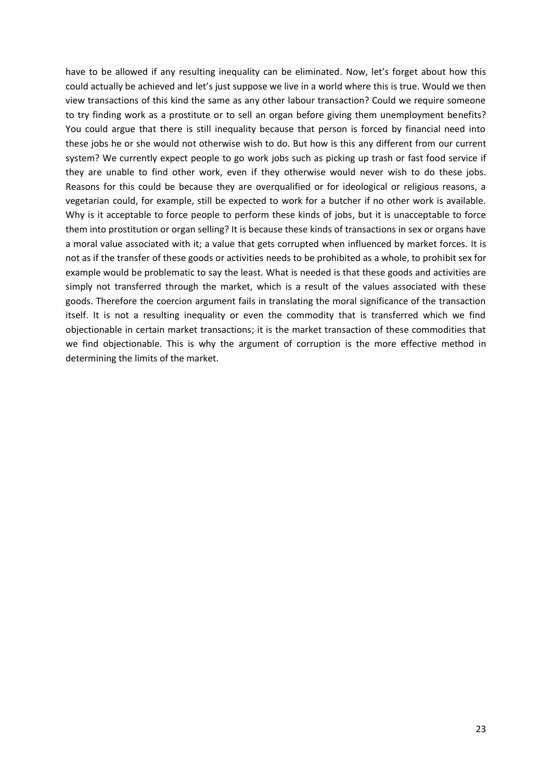have to be allowed if any resulting inequality can be eliminated. Now, let's forget about how this could actually be achieved and let's just suppose we live in a world where this is true. Would we then view transactions of this kind the same as any other labour transaction? Could we require someone to try finding work as a prostitute or to sell an organ before giving them unemployment benefits? You could argue that there is still inequality because that person is forced by financial need into these jobs he or she would not otherwise wish to do. But how is this any different from our current system? We currently expect people to go work jobs such as picking up trash or fast food service if they are unable to find other work, even if they otherwise would never wish to do these jobs. Reasons for this could be because they are overqualified or for ideological or religious reasons, a vegetarian could, for example, still be expected to work for a butcher if no other work is available. Why is it acceptable to force people to perform these kinds of jobs, but it is unacceptable to force them into prostitution or organ selling? It is because these kinds of transactions in sex or organs have a moral value associated with it; a value that gets corrupted when influenced by market forces. It is not as if the transfer of these goods or activities needs to be prohibited as a whole, to prohibit sex for example would be problematic to say the least. What is needed is that these goods and activities are simply not transferred through the market, which is a result of the values associated with these goods. Therefore the coercion argument fails in translating the moral significance of the transaction itself. It is not a resulting inequality or even the commodity that is transferred which we find objectionable in certain market transactions; it is the market transaction of these commodities that we find objectionable. This is why the argument of corruption is the more effective method in determining the limits of the market.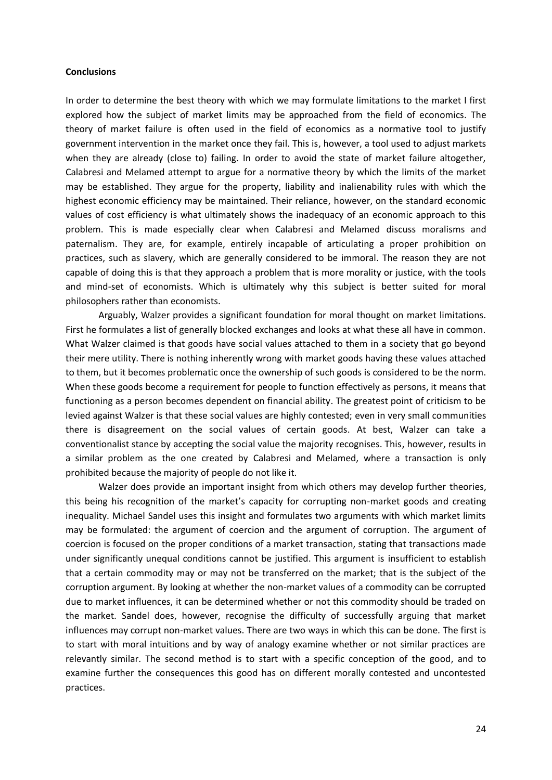#### **Conclusions**

In order to determine the best theory with which we may formulate limitations to the market I first explored how the subject of market limits may be approached from the field of economics. The theory of market failure is often used in the field of economics as a normative tool to justify government intervention in the market once they fail. This is, however, a tool used to adjust markets when they are already (close to) failing. In order to avoid the state of market failure altogether, Calabresi and Melamed attempt to argue for a normative theory by which the limits of the market may be established. They argue for the property, liability and inalienability rules with which the highest economic efficiency may be maintained. Their reliance, however, on the standard economic values of cost efficiency is what ultimately shows the inadequacy of an economic approach to this problem. This is made especially clear when Calabresi and Melamed discuss moralisms and paternalism. They are, for example, entirely incapable of articulating a proper prohibition on practices, such as slavery, which are generally considered to be immoral. The reason they are not capable of doing this is that they approach a problem that is more morality or justice, with the tools and mind-set of economists. Which is ultimately why this subject is better suited for moral philosophers rather than economists.

Arguably, Walzer provides a significant foundation for moral thought on market limitations. First he formulates a list of generally blocked exchanges and looks at what these all have in common. What Walzer claimed is that goods have social values attached to them in a society that go beyond their mere utility. There is nothing inherently wrong with market goods having these values attached to them, but it becomes problematic once the ownership of such goods is considered to be the norm. When these goods become a requirement for people to function effectively as persons, it means that functioning as a person becomes dependent on financial ability. The greatest point of criticism to be levied against Walzer is that these social values are highly contested; even in very small communities there is disagreement on the social values of certain goods. At best, Walzer can take a conventionalist stance by accepting the social value the majority recognises. This, however, results in a similar problem as the one created by Calabresi and Melamed, where a transaction is only prohibited because the majority of people do not like it.

Walzer does provide an important insight from which others may develop further theories, this being his recognition of the market's capacity for corrupting non-market goods and creating inequality. Michael Sandel uses this insight and formulates two arguments with which market limits may be formulated: the argument of coercion and the argument of corruption. The argument of coercion is focused on the proper conditions of a market transaction, stating that transactions made under significantly unequal conditions cannot be justified. This argument is insufficient to establish that a certain commodity may or may not be transferred on the market; that is the subject of the corruption argument. By looking at whether the non-market values of a commodity can be corrupted due to market influences, it can be determined whether or not this commodity should be traded on the market. Sandel does, however, recognise the difficulty of successfully arguing that market influences may corrupt non-market values. There are two ways in which this can be done. The first is to start with moral intuitions and by way of analogy examine whether or not similar practices are relevantly similar. The second method is to start with a specific conception of the good, and to examine further the consequences this good has on different morally contested and uncontested practices.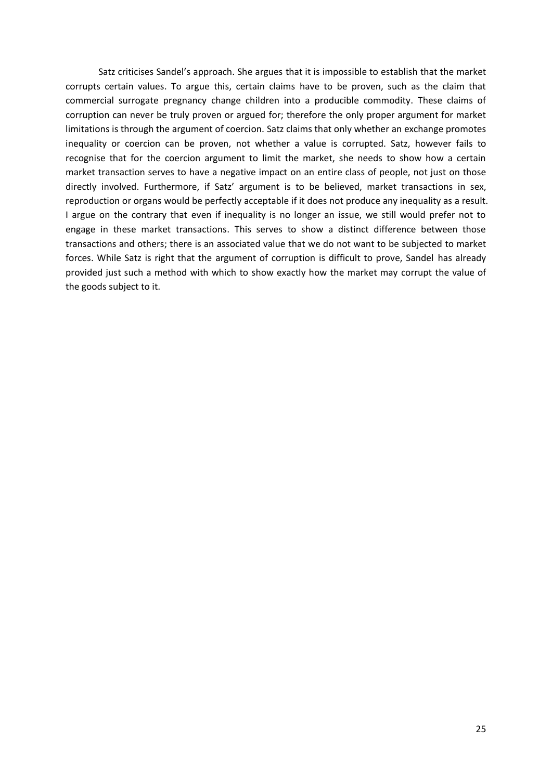Satz criticises Sandel's approach. She argues that it is impossible to establish that the market corrupts certain values. To argue this, certain claims have to be proven, such as the claim that commercial surrogate pregnancy change children into a producible commodity. These claims of corruption can never be truly proven or argued for; therefore the only proper argument for market limitations is through the argument of coercion. Satz claims that only whether an exchange promotes inequality or coercion can be proven, not whether a value is corrupted. Satz, however fails to recognise that for the coercion argument to limit the market, she needs to show how a certain market transaction serves to have a negative impact on an entire class of people, not just on those directly involved. Furthermore, if Satz' argument is to be believed, market transactions in sex, reproduction or organs would be perfectly acceptable if it does not produce any inequality as a result. I argue on the contrary that even if inequality is no longer an issue, we still would prefer not to engage in these market transactions. This serves to show a distinct difference between those transactions and others; there is an associated value that we do not want to be subjected to market forces. While Satz is right that the argument of corruption is difficult to prove, Sandel has already provided just such a method with which to show exactly how the market may corrupt the value of the goods subject to it.